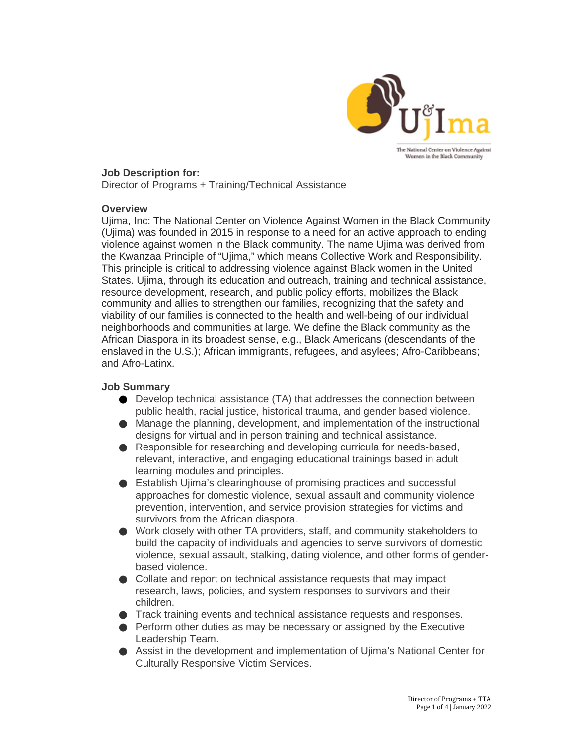

## **Job Description for:**

Director of Programs + Training/Technical Assistance

### **Overview**

Ujima, Inc: The National Center on Violence Against Women in the Black Community (Ujima) was founded in 2015 in response to a need for an active approach to ending violence against women in the Black community. The name Ujima was derived from the Kwanzaa Principle of "Ujima," which means Collective Work and Responsibility. This principle is critical to addressing violence against Black women in the United States. Ujima, through its education and outreach, training and technical assistance, resource development, research, and public policy efforts, mobilizes the Black community and allies to strengthen our families, recognizing that the safety and viability of our families is connected to the health and well-being of our individual neighborhoods and communities at large. We define the Black community as the African Diaspora in its broadest sense, e.g., Black Americans (descendants of the enslaved in the U.S.); African immigrants, refugees, and asylees; Afro-Caribbeans; and Afro-Latinx.

## **Job Summary**

- $\bullet$  Develop technical assistance (TA) that addresses the connection between public health, racial justice, historical trauma, and gender based violence.
- $\bullet$  Manage the planning, development, and implementation of the instructional designs for virtual and in person training and technical assistance.
- Responsible for researching and developing curricula for needs-based, relevant, interactive, and engaging educational trainings based in adult learning modules and principles.
- Establish Ujima's clearinghouse of promising practices and successful approaches for domestic violence, sexual assault and community violence prevention, intervention, and service provision strategies for victims and survivors from the African diaspora.
- Work closely with other TA providers, staff, and community stakeholders to build the capacity of individuals and agencies to serve survivors of domestic violence, sexual assault, stalking, dating violence, and other forms of genderbased violence.
- Collate and report on technical assistance requests that may impact research, laws, policies, and system responses to survivors and their children.
- Track training events and technical assistance requests and responses.
- Perform other duties as may be necessary or assigned by the Executive Leadership Team.
- Assist in the development and implementation of Ujima's National Center for Culturally Responsive Victim Services.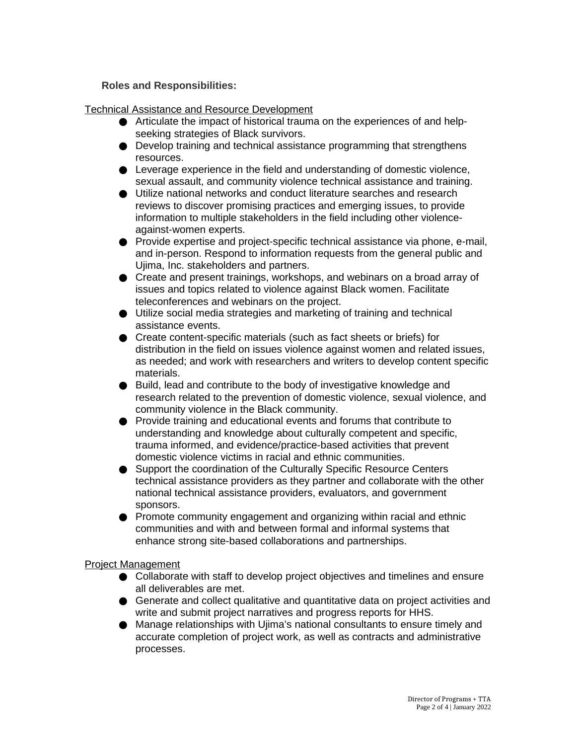**Roles and Responsibilities:**

Technical Assistance and Resource Development

- Articulate the impact of historical trauma on the experiences of and helpseeking strategies of Black survivors.
- Develop training and technical assistance programming that strengthens resources.
- $\bullet$  Leverage experience in the field and understanding of domestic violence, sexual assault, and community violence technical assistance and training.
- Utilize national networks and conduct literature searches and research reviews to discover promising practices and emerging issues, to provide information to multiple stakeholders in the field including other violenceagainst-women experts.
- Provide expertise and project-specific technical assistance via phone, e-mail, and in-person. Respond to information requests from the general public and Ujima, Inc. stakeholders and partners.
- Create and present trainings, workshops, and webinars on a broad array of issues and topics related to violence against Black women. Facilitate teleconferences and webinars on the project.
- Utilize social media strategies and marketing of training and technical assistance events.
- Create content-specific materials (such as fact sheets or briefs) for distribution in the field on issues violence against women and related issues, as needed; and work with researchers and writers to develop content specific materials.
- Build, lead and contribute to the body of investigative knowledge and research related to the prevention of domestic violence, sexual violence, and community violence in the Black community.
- Provide training and educational events and forums that contribute to understanding and knowledge about culturally competent and specific, trauma informed, and evidence/practice-based activities that prevent domestic violence victims in racial and ethnic communities.
- Support the coordination of the Culturally Specific Resource Centers technical assistance providers as they partner and collaborate with the other national technical assistance providers, evaluators, and government sponsors.
- Promote community engagement and organizing within racial and ethnic communities and with and between formal and informal systems that enhance strong site-based collaborations and partnerships.

## Project Management

- Collaborate with staff to develop project objectives and timelines and ensure all deliverables are met.
- Generate and collect qualitative and quantitative data on project activities and write and submit project narratives and progress reports for HHS.
- Manage relationships with Ujima's national consultants to ensure timely and accurate completion of project work, as well as contracts and administrative processes.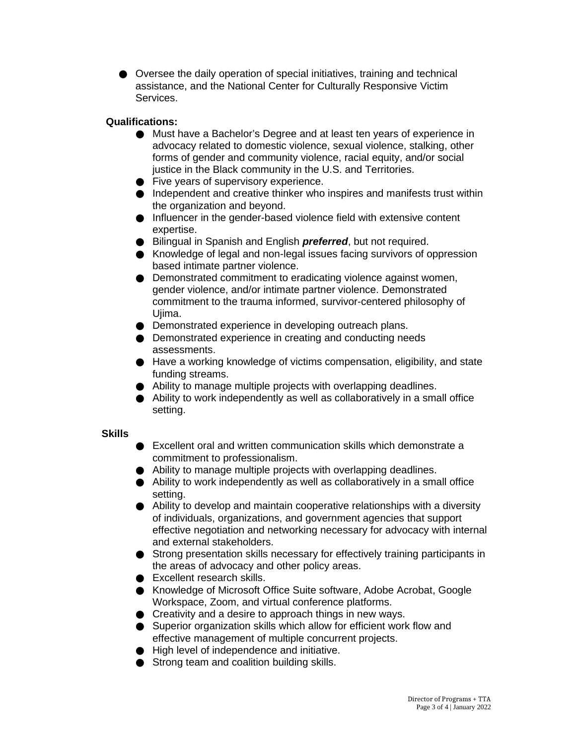● Oversee the daily operation of special initiatives, training and technical assistance, and the National Center for Culturally Responsive Victim Services.

# **Qualifications:**

- Must have a Bachelor's Degree and at least ten years of experience in advocacy related to domestic violence, sexual violence, stalking, other forms of gender and community violence, racial equity, and/or social justice in the Black community in the U.S. and Territories.
- Five years of supervisory experience.
- Independent and creative thinker who inspires and manifests trust within the organization and beyond.
- Influencer in the gender-based violence field with extensive content expertise.
- Bilingual in Spanish and English *preferred*, but not required.
- Knowledge of legal and non-legal issues facing survivors of oppression based intimate partner violence.
- Demonstrated commitment to eradicating violence against women, gender violence, and/or intimate partner violence. Demonstrated commitment to the trauma informed, survivor-centered philosophy of Ujima.
- Demonstrated experience in developing outreach plans.
- Demonstrated experience in creating and conducting needs assessments.
- Have a working knowledge of victims compensation, eligibility, and state funding streams.
- Ability to manage multiple projects with overlapping deadlines.
- Ability to work independently as well as collaboratively in a small office setting.

## **Skills**

- Excellent oral and written communication skills which demonstrate a commitment to professionalism.
- Ability to manage multiple projects with overlapping deadlines.
- Ability to work independently as well as collaboratively in a small office setting.
- Ability to develop and maintain cooperative relationships with a diversity of individuals, organizations, and government agencies that support effective negotiation and networking necessary for advocacy with internal and external stakeholders.
- Strong presentation skills necessary for effectively training participants in the areas of advocacy and other policy areas.
- Excellent research skills.
- Knowledge of Microsoft Office Suite software, Adobe Acrobat, Google Workspace, Zoom, and virtual conference platforms.
- Creativity and a desire to approach things in new ways.
- Superior organization skills which allow for efficient work flow and effective management of multiple concurrent projects.
- High level of independence and initiative.
- **Strong team and coalition building skills.**